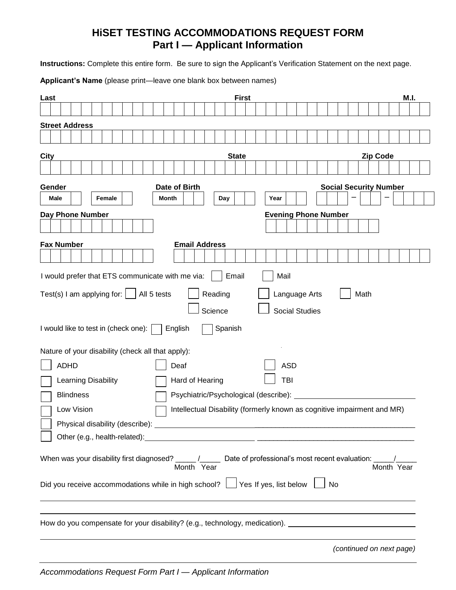### **HiSET TESTING ACCOMMODATIONS REQUEST FORM Part I — Applicant Information**

**Instructions:** Complete this entire form. Be sure to sign the Applicant's Verification Statement on the next page.

**Applicant's Name** (please print—leave one blank box between names)

| <b>First</b><br>Last                                                                                                  |                             |                               |      |                 |            | M.I. |
|-----------------------------------------------------------------------------------------------------------------------|-----------------------------|-------------------------------|------|-----------------|------------|------|
|                                                                                                                       |                             |                               |      |                 |            |      |
| <b>Street Address</b>                                                                                                 |                             |                               |      |                 |            |      |
|                                                                                                                       |                             |                               |      |                 |            |      |
|                                                                                                                       |                             |                               |      |                 |            |      |
| <b>State</b><br>City                                                                                                  |                             |                               |      | <b>Zip Code</b> |            |      |
|                                                                                                                       |                             |                               |      |                 |            |      |
| Gender<br>Date of Birth                                                                                               |                             | <b>Social Security Number</b> |      |                 |            |      |
| Male<br>Month<br>Female<br>Day<br>Year                                                                                |                             |                               |      |                 |            |      |
| Day Phone Number                                                                                                      | <b>Evening Phone Number</b> |                               |      |                 |            |      |
|                                                                                                                       |                             |                               |      |                 |            |      |
| <b>Fax Number</b><br><b>Email Address</b>                                                                             |                             |                               |      |                 |            |      |
|                                                                                                                       |                             |                               |      |                 |            |      |
| I would prefer that ETS communicate with me via:<br>Email<br>Mail                                                     |                             |                               |      |                 |            |      |
|                                                                                                                       |                             |                               |      |                 |            |      |
| Reading<br>Test(s) I am applying for: $ $<br>All 5 tests                                                              | Language Arts               |                               | Math |                 |            |      |
| Science                                                                                                               | <b>Social Studies</b>       |                               |      |                 |            |      |
| I would like to test in (check one):  <br>Spanish<br>English                                                          |                             |                               |      |                 |            |      |
|                                                                                                                       |                             |                               |      |                 |            |      |
| Nature of your disability (check all that apply):                                                                     |                             |                               |      |                 |            |      |
| <b>ADHD</b><br><b>ASD</b><br>Deaf                                                                                     |                             |                               |      |                 |            |      |
| <b>TBI</b><br>Learning Disability<br>Hard of Hearing                                                                  |                             |                               |      |                 |            |      |
| <b>Blindness</b><br>Psychiatric/Psychological (describe):                                                             |                             |                               |      |                 |            |      |
| Low Vision<br>Intellectual Disability (formerly known as cognitive impairment and MR)                                 |                             |                               |      |                 |            |      |
| Physical disability (describe): __                                                                                    |                             |                               |      |                 |            |      |
|                                                                                                                       |                             |                               |      |                 |            |      |
|                                                                                                                       |                             |                               |      |                 |            |      |
| When was your disability first diagnosed? ____/____ Date of professional's most recent evaluation: ____<br>Month Year |                             |                               |      |                 | Month Year |      |
| Did you receive accommodations while in high school? $\Box$ Yes If yes, list below                                    |                             | No                            |      |                 |            |      |
|                                                                                                                       |                             |                               |      |                 |            |      |
|                                                                                                                       |                             |                               |      |                 |            |      |
| How do you compensate for your disability? (e.g., technology, medication). _________________________                  |                             |                               |      |                 |            |      |
|                                                                                                                       |                             |                               |      |                 |            |      |
|                                                                                                                       |                             | (continued on next page)      |      |                 |            |      |

*Accommodations Request Form Part I — Applicant Information*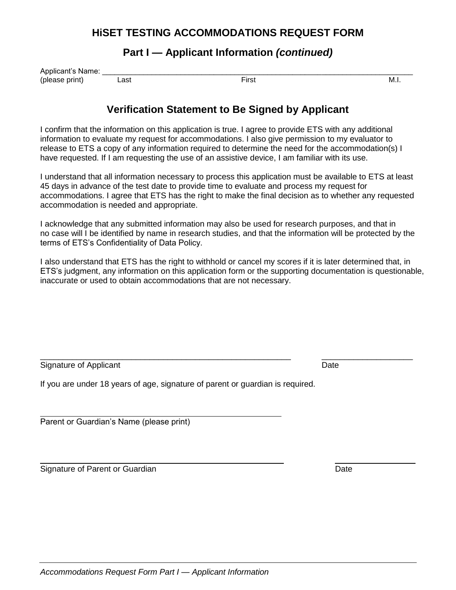#### **HiSET TESTING ACCOMMODATIONS REQUEST FORM**

### **Part I — Applicant Information** *(continued)*

| Applicant's Name: |      |       |        |
|-------------------|------|-------|--------|
| (please print)    | _ast | First | - M.i. |
|                   | .    | ___   |        |

#### **Verification Statement to Be Signed by Applicant**

I confirm that the information on this application is true. I agree to provide ETS with any additional information to evaluate my request for accommodations. I also give permission to my evaluator to release to ETS a copy of any information required to determine the need for the accommodation(s) I have requested. If I am requesting the use of an assistive device, I am familiar with its use.

I understand that all information necessary to process this application must be available to ETS at least 45 days in advance of the test date to provide time to evaluate and process my request for accommodations. I agree that ETS has the right to make the final decision as to whether any requested accommodation is needed and appropriate.

I acknowledge that any submitted information may also be used for research purposes, and that in no case will I be identified by name in research studies, and that the information will be protected by the terms of ETS's Confidentiality of Data Policy.

I also understand that ETS has the right to withhold or cancel my scores if it is later determined that, in ETS's judgment, any information on this application form or the supporting documentation is questionable, inaccurate or used to obtain accommodations that are not necessary.

\_\_\_\_\_\_\_\_\_\_\_\_\_\_\_\_\_\_\_\_\_\_\_\_\_\_\_\_\_\_\_\_\_\_\_\_\_\_\_\_\_\_\_\_\_\_\_\_\_\_\_\_\_\_\_ \_\_\_\_\_\_\_\_\_\_\_\_\_\_\_\_\_\_\_\_

Signature of Applicant Date Controller Controller Controller Controller Controller Controller Controller Controller

If you are under 18 years of age, signature of parent or guardian is required.

Parent or Guardian's Name (please print)

Signature of Parent or Guardian Date Controller and Date Date Date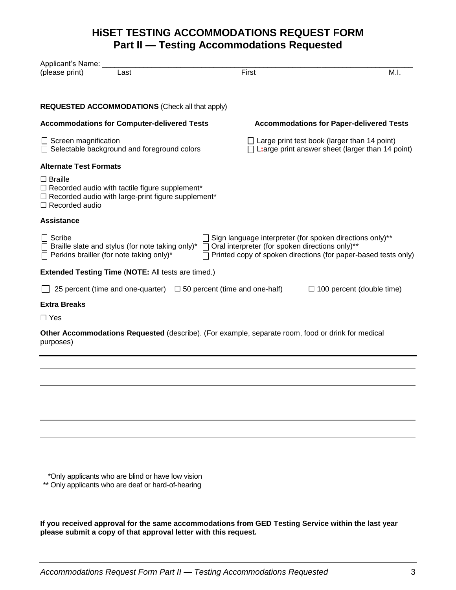### **HiSET TESTING ACCOMMODATIONS REQUEST FORM Part II — Testing Accommodations Requested**

| Applicant's Name:                                                                                                                                             |      |                                                                                                          |                                                                                                                                                                                          |                                  |
|---------------------------------------------------------------------------------------------------------------------------------------------------------------|------|----------------------------------------------------------------------------------------------------------|------------------------------------------------------------------------------------------------------------------------------------------------------------------------------------------|----------------------------------|
| (please print)                                                                                                                                                | Last |                                                                                                          | First                                                                                                                                                                                    | M.I.                             |
| <b>REQUESTED ACCOMMODATIONS (Check all that apply)</b>                                                                                                        |      |                                                                                                          |                                                                                                                                                                                          |                                  |
|                                                                                                                                                               |      |                                                                                                          |                                                                                                                                                                                          |                                  |
| <b>Accommodations for Computer-delivered Tests</b>                                                                                                            |      |                                                                                                          | <b>Accommodations for Paper-delivered Tests</b>                                                                                                                                          |                                  |
| $\Box$ Screen magnification<br>□ Selectable background and foreground colors                                                                                  |      | $\Box$ Large print test book (larger than 14 point)<br>L: arge print answer sheet (larger than 14 point) |                                                                                                                                                                                          |                                  |
| <b>Alternate Test Formats</b>                                                                                                                                 |      |                                                                                                          |                                                                                                                                                                                          |                                  |
| $\Box$ Braille<br>$\Box$ Recorded audio with tactile figure supplement*<br>$\Box$ Recorded audio with large-print figure supplement*<br>$\Box$ Recorded audio |      |                                                                                                          |                                                                                                                                                                                          |                                  |
| <b>Assistance</b>                                                                                                                                             |      |                                                                                                          |                                                                                                                                                                                          |                                  |
| $\Box$ Scribe<br>$\Box$ Braille slate and stylus (for note taking only)*<br>$\Box$ Perkins brailler (for note taking only)*                                   |      |                                                                                                          | □ Sign language interpreter (for spoken directions only)**<br>□ Oral interpreter (for spoken directions only)**<br>$\Box$ Printed copy of spoken directions (for paper-based tests only) |                                  |
| <b>Extended Testing Time (NOTE: All tests are timed.)</b>                                                                                                     |      |                                                                                                          |                                                                                                                                                                                          |                                  |
|                                                                                                                                                               |      |                                                                                                          | 25 percent (time and one-quarter) $\Box$ 50 percent (time and one-half)                                                                                                                  | $\Box$ 100 percent (double time) |
| <b>Extra Breaks</b>                                                                                                                                           |      |                                                                                                          |                                                                                                                                                                                          |                                  |
| $\Box$ Yes                                                                                                                                                    |      |                                                                                                          |                                                                                                                                                                                          |                                  |
| purposes)                                                                                                                                                     |      |                                                                                                          | Other Accommodations Requested (describe). (For example, separate room, food or drink for medical                                                                                        |                                  |
|                                                                                                                                                               |      |                                                                                                          |                                                                                                                                                                                          |                                  |
|                                                                                                                                                               |      |                                                                                                          |                                                                                                                                                                                          |                                  |
|                                                                                                                                                               |      |                                                                                                          |                                                                                                                                                                                          |                                  |
|                                                                                                                                                               |      |                                                                                                          |                                                                                                                                                                                          |                                  |
|                                                                                                                                                               |      |                                                                                                          |                                                                                                                                                                                          |                                  |
|                                                                                                                                                               |      |                                                                                                          |                                                                                                                                                                                          |                                  |
|                                                                                                                                                               |      |                                                                                                          |                                                                                                                                                                                          |                                  |

\*\* \*Only applicants who are blind or have low vision

\*\*\* Only applicants who are deaf or hard-of-hearing

**If you received approval for the same accommodations from GED Testing Service within the last year please submit a copy of that approval letter with this request.**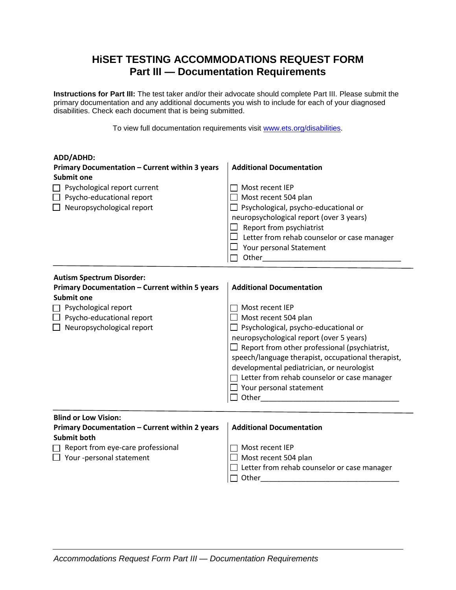## **HiSET TESTING ACCOMMODATIONS REQUEST FORM Part III — Documentation Requirements**

**Instructions for Part III:** The test taker and/or their advocate should complete Part III. Please submit the primary documentation and any additional documents you wish to include for each of your diagnosed disabilities. Check each document that is being submitted.

To view full documentation requirements visit [www.ets.org/disabilities.](http://www.ets.org/disabilities)

| ADD/ADHD:                                                           |                                                                                                                |
|---------------------------------------------------------------------|----------------------------------------------------------------------------------------------------------------|
| Primary Documentation - Current within 3 years                      | <b>Additional Documentation</b>                                                                                |
| Submit one                                                          |                                                                                                                |
| Psychological report current                                        | Most recent IEP                                                                                                |
| $\Box$ Psycho-educational report                                    | $\Box$ Most recent 504 plan                                                                                    |
| $\Box$ Neuropsychological report                                    | $\Box$ Psychological, psycho-educational or                                                                    |
|                                                                     | neuropsychological report (over 3 years)                                                                       |
|                                                                     | $\Box$ Report from psychiatrist                                                                                |
|                                                                     | Letter from rehab counselor or case manager                                                                    |
|                                                                     | $\Box$ Your personal Statement                                                                                 |
|                                                                     | Other than the contract of the contract of the contract of the contract of the contract of the contract of the |
|                                                                     |                                                                                                                |
| <b>Autism Spectrum Disorder:</b>                                    | <b>Additional Documentation</b>                                                                                |
| Primary Documentation - Current within 5 years<br><b>Submit one</b> |                                                                                                                |
|                                                                     | $\sqcap$ Most recent IEP                                                                                       |
| Psychological report<br>$\Box$ Psycho-educational report            | $\Box$ Most recent 504 plan                                                                                    |
| Neuropsychological report                                           | $\Box$ Psychological, psycho-educational or                                                                    |
|                                                                     | neuropsychological report (over 5 years)                                                                       |
|                                                                     | $\Box$ Report from other professional (psychiatrist,                                                           |
|                                                                     | speech/language therapist, occupational therapist,                                                             |
|                                                                     | developmental pediatrician, or neurologist                                                                     |
|                                                                     | $\Box$ Letter from rehab counselor or case manager                                                             |
|                                                                     | $\Box$ Your personal statement                                                                                 |
|                                                                     | Other and the contract of the contract of the contract of the contract of the contract of the contract of the  |
|                                                                     |                                                                                                                |
| <b>Blind or Low Vision:</b>                                         |                                                                                                                |
| Primary Documentation - Current within 2 years                      | <b>Additional Documentation</b>                                                                                |
| <b>Submit both</b>                                                  |                                                                                                                |
| Report from eye-care professional                                   | Most recent IEP                                                                                                |
| Your -personal statement                                            | Most recent 504 plan                                                                                           |
|                                                                     | Letter from rehab counselor or case manager                                                                    |
|                                                                     | Other                                                                                                          |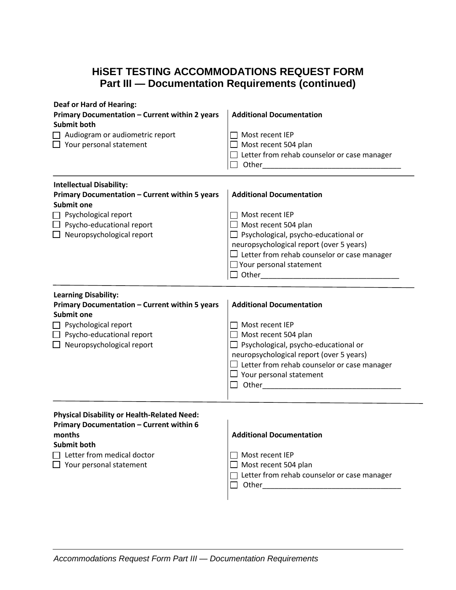# **HiSET TESTING ACCOMMODATIONS REQUEST FORM Part III — Documentation Requirements (continued)**

| <b>Deaf or Hard of Hearing:</b><br>Primary Documentation - Current within 2 years<br><b>Submit both</b><br>$\Box$ Audiogram or audiometric report<br>$\Box$ Your personal statement                           | <b>Additional Documentation</b><br>Most recent IEP<br>$\Box$ Most recent 504 plan<br>$\Box$ Letter from rehab counselor or case manager                                                                                                                                     |
|---------------------------------------------------------------------------------------------------------------------------------------------------------------------------------------------------------------|-----------------------------------------------------------------------------------------------------------------------------------------------------------------------------------------------------------------------------------------------------------------------------|
| <b>Intellectual Disability:</b><br>Primary Documentation - Current within 5 years<br><b>Submit one</b><br>$\Box$ Psychological report<br>$\Box$ Psycho-educational report<br>$\Box$ Neuropsychological report | <b>Additional Documentation</b><br>Most recent IEP<br>$\Box$ Most recent 504 plan<br>$\Box$ Psychological, psycho-educational or<br>neuropsychological report (over 5 years)<br>$\Box$ Letter from rehab counselor or case manager<br>$\Box$ Your personal statement        |
| <b>Learning Disability:</b><br>Primary Documentation - Current within 5 years<br><b>Submit one</b><br>$\Box$ Psychological report<br>$\Box$ Psycho-educational report<br>$\Box$ Neuropsychological report     | <b>Additional Documentation</b><br>$\Box$ Most recent IEP<br>$\Box$ Most recent 504 plan<br>$\Box$ Psychological, psycho-educational or<br>neuropsychological report (over 5 years)<br>$\Box$ Letter from rehab counselor or case manager<br>$\Box$ Your personal statement |
| <b>Physical Disability or Health-Related Need:</b><br>Primary Documentation - Current within 6<br>months<br>Submit both<br>$\Box$ Letter from medical doctor<br>$\Box$ Your personal statement                | <b>Additional Documentation</b><br>$\Box$ Most recent IEP<br>$\Box$ Most recent 504 plan<br>$\Box$ Letter from rehab counselor or case manager<br>$\Box$ Other $\Box$                                                                                                       |